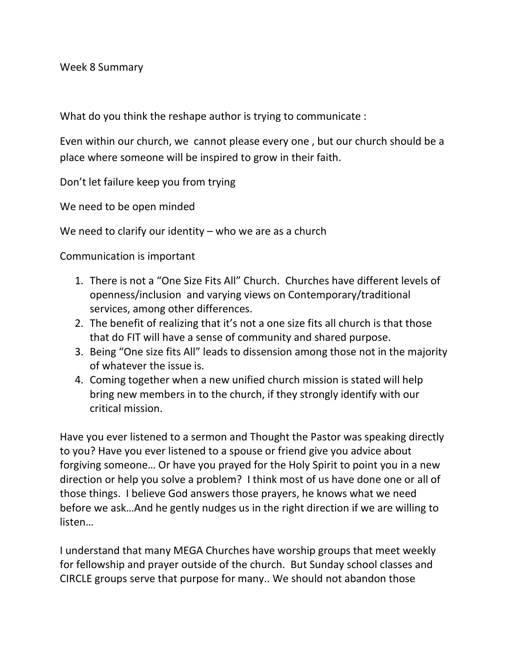Week 8 Summary

What do you think the reshape author is trying to communicate :

Even within our church, we cannot please every one , but our church should be a place where someone will be inspired to grow in their faith.

Don't let failure keep you from trying

We need to be open minded

We need to clarify our identity – who we are as a church

Communication is important

- 1. There is not a "One Size Fits All" Church. Churches have different levels of openness/inclusion and varying views on Contemporary/traditional services, among other differences.
- 2. The benefit of realizing that it's not a one size fits all church is that those that do FIT will have a sense of community and shared purpose.
- 3. Being "One size fits All" leads to dissension among those not in the majority of whatever the issue is.
- 4. Coming together when a new unified church mission is stated will help bring new members in to the church, if they strongly identify with our critical mission.

Have you ever listened to a sermon and Thought the Pastor was speaking directly to you? Have you ever listened to a spouse or friend give you advice about forgiving someone… Or have you prayed for the Holy Spirit to point you in a new direction or help you solve a problem? I think most of us have done one or all of those things. I believe God answers those prayers, he knows what we need before we ask…And he gently nudges us in the right direction if we are willing to listen…

I understand that many MEGA Churches have worship groups that meet weekly for fellowship and prayer outside of the church. But Sunday school classes and CIRCLE groups serve that purpose for many.. We should not abandon those